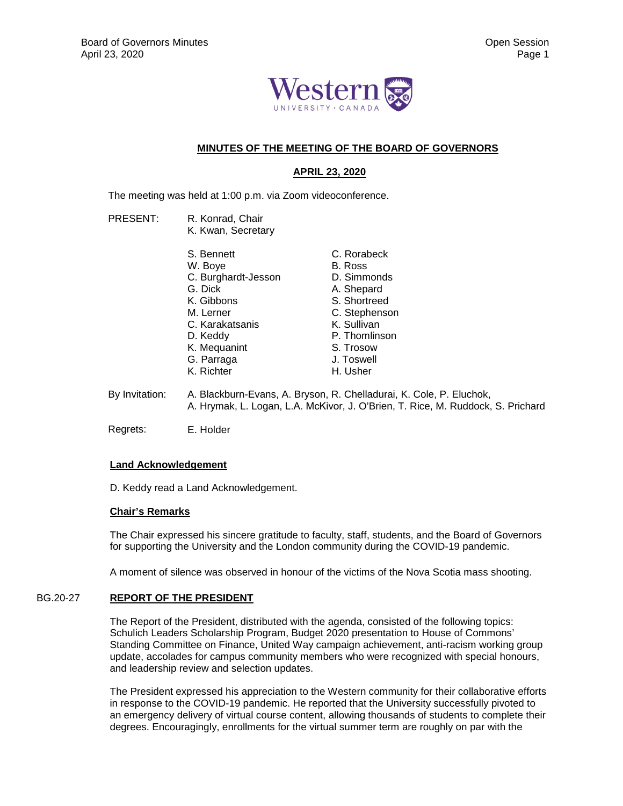

# **MINUTES OF THE MEETING OF THE BOARD OF GOVERNORS**

# **APRIL 23, 2020**

The meeting was held at 1:00 p.m. via Zoom videoconference.

- PRESENT: R. Konrad, Chair K. Kwan, Secretary
- S. Bennett W. Boye C. Burghardt-Jesson G. Dick K. Gibbons M. Lerner C. Karakatsanis D. Keddy K. Mequanint G. Parraga K. Richter C. Rorabeck B. Ross D. Simmonds A. Shepard S. Shortreed C. Stephenson K. Sullivan P. Thomlinson S. Trosow J. Toswell H. Usher By Invitation: A. Blackburn-Evans, A. Bryson, R. Chelladurai, K. Cole, P. Eluchok, A. Hrymak, L. Logan, L.A. McKivor, J. O'Brien, T. Rice, M. Ruddock, S. Prichard
- Regrets: E. Holder

## **Land Acknowledgement**

D. Keddy read a Land Acknowledgement.

## **Chair's Remarks**

The Chair expressed his sincere gratitude to faculty, staff, students, and the Board of Governors for supporting the University and the London community during the COVID-19 pandemic.

A moment of silence was observed in honour of the victims of the Nova Scotia mass shooting.

## BG.20-27 **REPORT OF THE PRESIDENT**

The Report of the President, distributed with the agenda, consisted of the following topics: Schulich Leaders Scholarship Program, Budget 2020 presentation to House of Commons' Standing Committee on Finance, United Way campaign achievement, anti-racism working group update, accolades for campus community members who were recognized with special honours, and leadership review and selection updates.

The President expressed his appreciation to the Western community for their collaborative efforts in response to the COVID-19 pandemic. He reported that the University successfully pivoted to an emergency delivery of virtual course content, allowing thousands of students to complete their degrees. Encouragingly, enrollments for the virtual summer term are roughly on par with the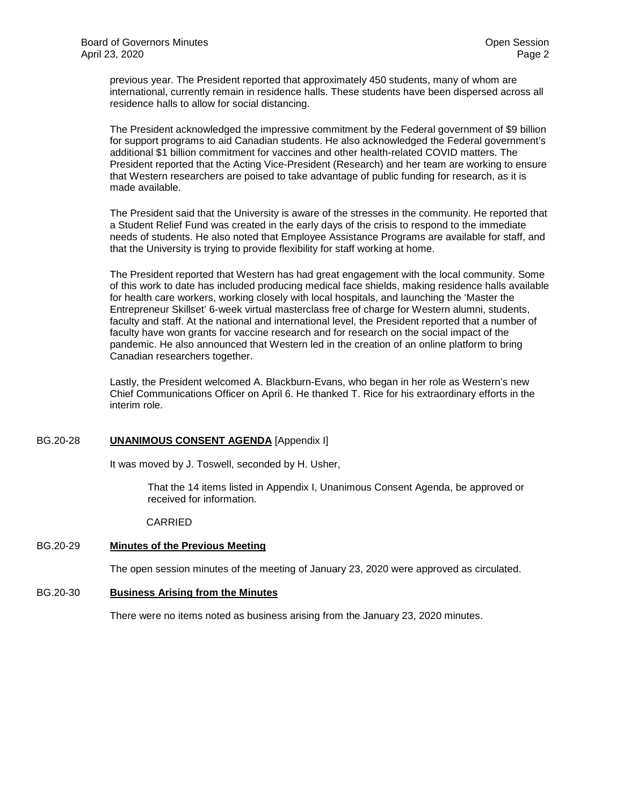previous year. The President reported that approximately 450 students, many of whom are international, currently remain in residence halls. These students have been dispersed across all residence halls to allow for social distancing.

The President acknowledged the impressive commitment by the Federal government of \$9 billion for support programs to aid Canadian students. He also acknowledged the Federal government's additional \$1 billion commitment for vaccines and other health-related COVID matters. The President reported that the Acting Vice-President (Research) and her team are working to ensure that Western researchers are poised to take advantage of public funding for research, as it is made available.

The President said that the University is aware of the stresses in the community. He reported that a Student Relief Fund was created in the early days of the crisis to respond to the immediate needs of students. He also noted that Employee Assistance Programs are available for staff, and that the University is trying to provide flexibility for staff working at home.

The President reported that Western has had great engagement with the local community. Some of this work to date has included producing medical face shields, making residence halls available for health care workers, working closely with local hospitals, and launching the 'Master the Entrepreneur Skillset' 6-week virtual masterclass free of charge for Western alumni, students, faculty and staff. At the national and international level, the President reported that a number of faculty have won grants for vaccine research and for research on the social impact of the pandemic. He also announced that Western led in the creation of an online platform to bring Canadian researchers together.

Lastly, the President welcomed A. Blackburn-Evans, who began in her role as Western's new Chief Communications Officer on April 6. He thanked T. Rice for his extraordinary efforts in the interim role.

## BG.20-28 **UNANIMOUS CONSENT AGENDA** [Appendix I]

It was moved by J. Toswell, seconded by H. Usher,

That the 14 items listed in Appendix I, Unanimous Consent Agenda, be approved or received for information.

## CARRIED

## BG.20-29 **Minutes of the Previous Meeting**

The open session minutes of the meeting of January 23, 2020 were approved as circulated.

## BG.20-30 **Business Arising from the Minutes**

There were no items noted as business arising from the January 23, 2020 minutes.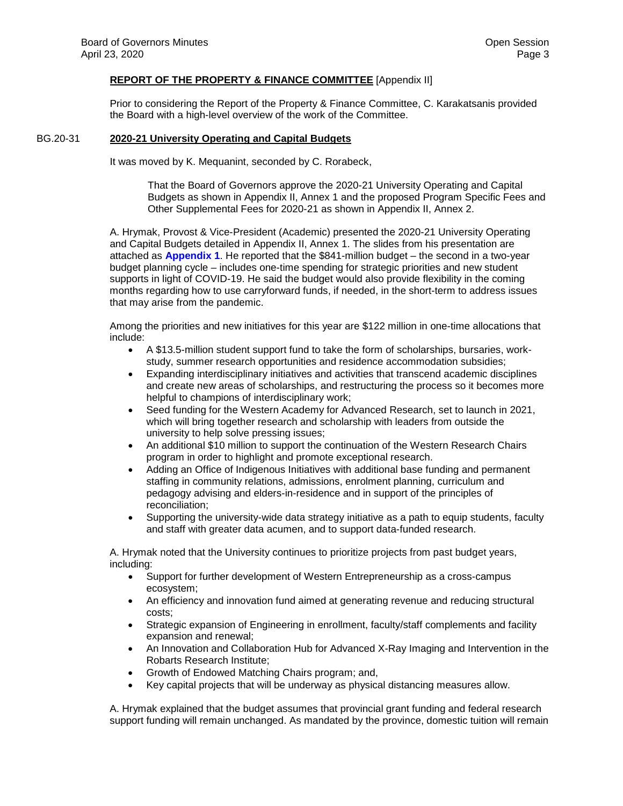## **REPORT OF THE PROPERTY & FINANCE COMMITTEE** [Appendix II]

Prior to considering the Report of the Property & Finance Committee, C. Karakatsanis provided the Board with a high-level overview of the work of the Committee.

### BG.20-31 **2020-21 University Operating and Capital Budgets**

It was moved by K. Mequanint, seconded by C. Rorabeck,

That the Board of Governors approve the 2020-21 University Operating and Capital Budgets as shown in Appendix II, Annex 1 and the proposed Program Specific Fees and Other Supplemental Fees for 2020-21 as shown in Appendix II, Annex 2.

A. Hrymak, Provost & Vice-President (Academic) presented the 2020-21 University Operating and Capital [Budgets detaile](#page-7-0)d in Appendix II, Annex 1. The slides from his presentation are attached as **Appendix 1**. He reported that the \$841-million budget – the second in a two-year budget planning cycle – includes one-time spending for strategic priorities and new student supports in light of COVID-19. He said the budget would also provide flexibility in the coming months regarding how to use carryforward funds, if needed, in the short-term to address issues that may arise from the pandemic.

Among the priorities and new initiatives for this year are \$122 million in one-time allocations that include:

- A \$13.5-million student support fund to take the form of scholarships, bursaries, workstudy, summer research opportunities and residence accommodation subsidies;
- Expanding interdisciplinary initiatives and activities that transcend academic disciplines and create new areas of scholarships, and restructuring the process so it becomes more helpful to champions of interdisciplinary work;
- Seed funding for the Western Academy for Advanced Research, set to launch in 2021, which will bring together research and scholarship with leaders from outside the university to help solve pressing issues;
- An additional \$10 million to support the continuation of the Western Research Chairs program in order to highlight and promote exceptional research.
- Adding an Office of Indigenous Initiatives with additional base funding and permanent staffing in community relations, admissions, enrolment planning, curriculum and pedagogy advising and elders-in-residence and in support of the principles of reconciliation;
- Supporting the university-wide data strategy initiative as a path to equip students, faculty and staff with greater data acumen, and to support data-funded research.

A. Hrymak noted that the University continues to prioritize projects from past budget years, including:

- Support for further development of Western Entrepreneurship as a cross-campus ecosystem;
- An efficiency and innovation fund aimed at generating revenue and reducing structural costs;
- Strategic expansion of Engineering in enrollment, faculty/staff complements and facility expansion and renewal;
- An Innovation and Collaboration Hub for Advanced X-Ray Imaging and Intervention in the Robarts Research Institute;
- Growth of Endowed Matching Chairs program; and,
- Key capital projects that will be underway as physical distancing measures allow.

A. Hrymak explained that the budget assumes that provincial grant funding and federal research support funding will remain unchanged. As mandated by the province, domestic tuition will remain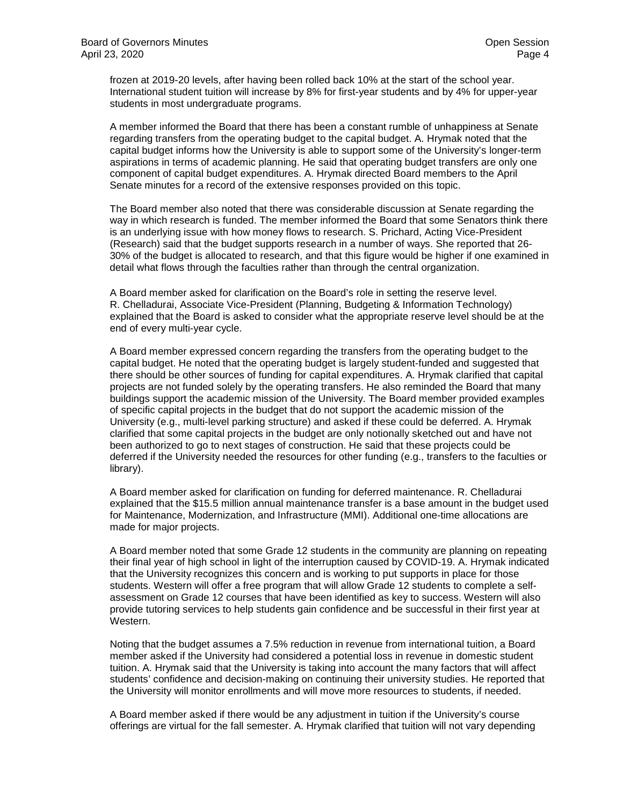frozen at 2019-20 levels, after having been rolled back 10% at the start of the school year. International student tuition will increase by 8% for first-year students and by 4% for upper-year students in most undergraduate programs.

A member informed the Board that there has been a constant rumble of unhappiness at Senate regarding transfers from the operating budget to the capital budget. A. Hrymak noted that the capital budget informs how the University is able to support some of the University's longer-term aspirations in terms of academic planning. He said that operating budget transfers are only one component of capital budget expenditures. A. Hrymak directed Board members to the April Senate minutes for a record of the extensive responses provided on this topic.

The Board member also noted that there was considerable discussion at Senate regarding the way in which research is funded. The member informed the Board that some Senators think there is an underlying issue with how money flows to research. S. Prichard, Acting Vice-President (Research) said that the budget supports research in a number of ways. She reported that 26- 30% of the budget is allocated to research, and that this figure would be higher if one examined in detail what flows through the faculties rather than through the central organization.

A Board member asked for clarification on the Board's role in setting the reserve level. R. Chelladurai, Associate Vice-President (Planning, Budgeting & Information Technology) explained that the Board is asked to consider what the appropriate reserve level should be at the end of every multi-year cycle.

A Board member expressed concern regarding the transfers from the operating budget to the capital budget. He noted that the operating budget is largely student-funded and suggested that there should be other sources of funding for capital expenditures. A. Hrymak clarified that capital projects are not funded solely by the operating transfers. He also reminded the Board that many buildings support the academic mission of the University. The Board member provided examples of specific capital projects in the budget that do not support the academic mission of the University (e.g., multi-level parking structure) and asked if these could be deferred. A. Hrymak clarified that some capital projects in the budget are only notionally sketched out and have not been authorized to go to next stages of construction. He said that these projects could be deferred if the University needed the resources for other funding (e.g., transfers to the faculties or library).

A Board member asked for clarification on funding for deferred maintenance. R. Chelladurai explained that the \$15.5 million annual maintenance transfer is a base amount in the budget used for Maintenance, Modernization, and Infrastructure (MMI). Additional one-time allocations are made for major projects.

A Board member noted that some Grade 12 students in the community are planning on repeating their final year of high school in light of the interruption caused by COVID-19. A. Hrymak indicated that the University recognizes this concern and is working to put supports in place for those students. Western will offer a free program that will allow Grade 12 students to complete a selfassessment on Grade 12 courses that have been identified as key to success. Western will also provide tutoring services to help students gain confidence and be successful in their first year at Western.

Noting that the budget assumes a 7.5% reduction in revenue from international tuition, a Board member asked if the University had considered a potential loss in revenue in domestic student tuition. A. Hrymak said that the University is taking into account the many factors that will affect students' confidence and decision-making on continuing their university studies. He reported that the University will monitor enrollments and will move more resources to students, if needed.

A Board member asked if there would be any adjustment in tuition if the University's course offerings are virtual for the fall semester. A. Hrymak clarified that tuition will not vary depending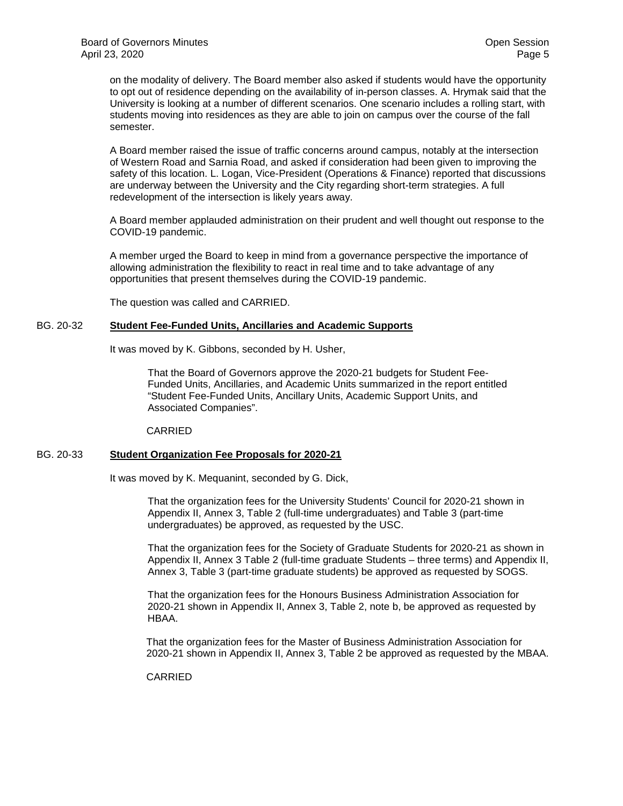on the modality of delivery. The Board member also asked if students would have the opportunity to opt out of residence depending on the availability of in-person classes. A. Hrymak said that the University is looking at a number of different scenarios. One scenario includes a rolling start, with students moving into residences as they are able to join on campus over the course of the fall semester.

A Board member raised the issue of traffic concerns around campus, notably at the intersection of Western Road and Sarnia Road, and asked if consideration had been given to improving the safety of this location. L. Logan, Vice-President (Operations & Finance) reported that discussions are underway between the University and the City regarding short-term strategies. A full redevelopment of the intersection is likely years away.

A Board member applauded administration on their prudent and well thought out response to the COVID-19 pandemic.

A member urged the Board to keep in mind from a governance perspective the importance of allowing administration the flexibility to react in real time and to take advantage of any opportunities that present themselves during the COVID-19 pandemic.

The question was called and CARRIED.

## BG. 20-32 **Student Fee-Funded Units, Ancillaries and Academic Supports**

It was moved by K. Gibbons, seconded by H. Usher,

That the Board of Governors approve the 2020-21 budgets for Student Fee-Funded Units, Ancillaries, and Academic Units summarized in the report entitled "Student Fee-Funded Units, Ancillary Units, Academic Support Units, and Associated Companies".

CARRIED

## BG. 20-33 **Student Organization Fee Proposals for 2020-21**

It was moved by K. Mequanint, seconded by G. Dick,

That the organization fees for the University Students' Council for 2020-21 shown in Appendix II, Annex 3, Table 2 (full-time undergraduates) and Table 3 (part-time undergraduates) be approved, as requested by the USC.

That the organization fees for the Society of Graduate Students for 2020-21 as shown in Appendix II, Annex 3 Table 2 (full-time graduate Students – three terms) and Appendix II, Annex 3, Table 3 (part-time graduate students) be approved as requested by SOGS.

That the organization fees for the Honours Business Administration Association for 2020-21 shown in Appendix II, Annex 3, Table 2, note b, be approved as requested by HBAA.

That the organization fees for the Master of Business Administration Association for 2020-21 shown in Appendix II, Annex 3, Table 2 be approved as requested by the MBAA.

CARRIED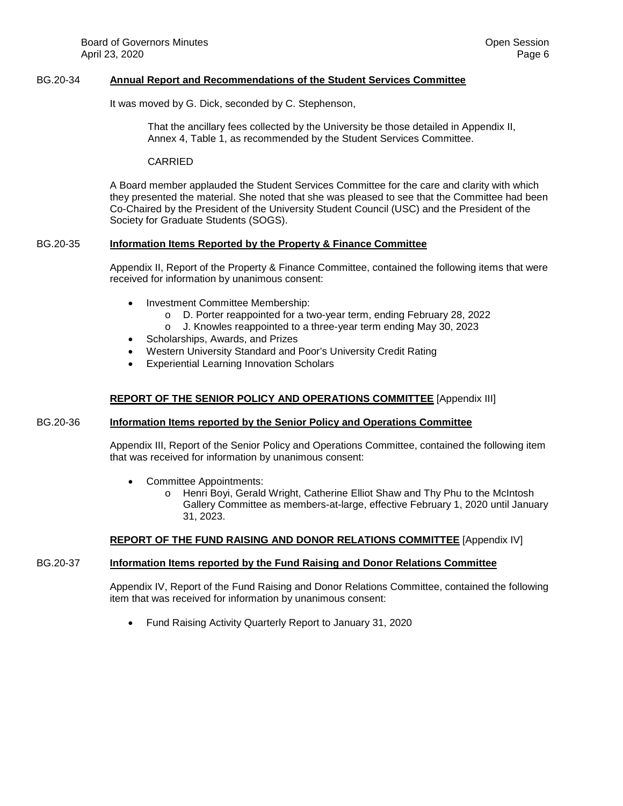## BG.20-34 **Annual Report and Recommendations of the Student Services Committee**

It was moved by G. Dick, seconded by C. Stephenson,

That the ancillary fees collected by the University be those detailed in Appendix II, Annex 4, Table 1, as recommended by the Student Services Committee.

CARRIED

A Board member applauded the Student Services Committee for the care and clarity with which they presented the material. She noted that she was pleased to see that the Committee had been Co-Chaired by the President of the University Student Council (USC) and the President of the Society for Graduate Students (SOGS).

### BG.20-35 **Information Items Reported by the Property & Finance Committee**

Appendix II, Report of the Property & Finance Committee, contained the following items that were received for information by unanimous consent:

- Investment Committee Membership:
	- o D. Porter reappointed for a two-year term, ending February 28, 2022
	- o J. Knowles reappointed to a three-year term ending May 30, 2023
- Scholarships, Awards, and Prizes
- Western University Standard and Poor's University Credit Rating
- Experiential Learning Innovation Scholars

### **REPORT OF THE SENIOR POLICY AND OPERATIONS COMMITTEE** [Appendix III]

#### BG.20-36 **Information Items reported by the Senior Policy and Operations Committee**

Appendix III, Report of the Senior Policy and Operations Committee, contained the following item that was received for information by unanimous consent:

- Committee Appointments:
	- o Henri Boyi, Gerald Wright, Catherine Elliot Shaw and Thy Phu to the McIntosh Gallery Committee as members-at-large, effective February 1, 2020 until January 31, 2023.

## **REPORT OF THE FUND RAISING AND DONOR RELATIONS COMMITTEE** [Appendix IV]

## BG.20-37 **Information Items reported by the Fund Raising and Donor Relations Committee**

Appendix IV, Report of the Fund Raising and Donor Relations Committee, contained the following item that was received for information by unanimous consent:

• Fund Raising Activity Quarterly Report to January 31, 2020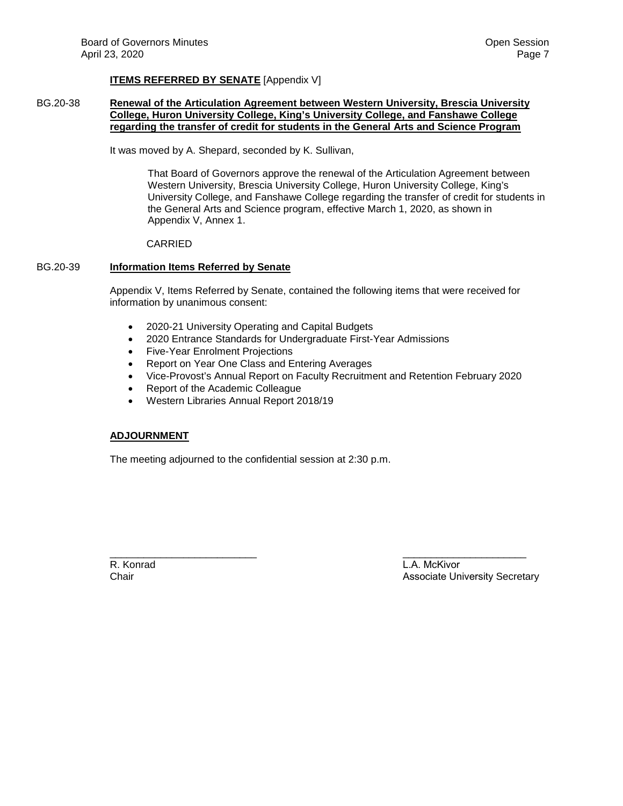## **ITEMS REFERRED BY SENATE** [Appendix V]

## BG.20-38 **Renewal of the Articulation Agreement between Western University, Brescia University College, Huron University College, King's University College, and Fanshawe College regarding the transfer of credit for students in the General Arts and Science Program**

It was moved by A. Shepard, seconded by K. Sullivan,

That Board of Governors approve the renewal of the Articulation Agreement between Western University, Brescia University College, Huron University College, King's University College, and Fanshawe College regarding the transfer of credit for students in the General Arts and Science program, effective March 1, 2020, as shown in Appendix V, Annex 1.

### CARRIED

### BG.20-39 **Information Items Referred by Senate**

Appendix V, Items Referred by Senate, contained the following items that were received for information by unanimous consent:

- 2020-21 University Operating and Capital Budgets
- 2020 Entrance Standards for Undergraduate First-Year Admissions
- Five-Year Enrolment Projections
- Report on Year One Class and Entering Averages
- Vice-Provost's Annual Report on Faculty Recruitment and Retention February 2020
- Report of the Academic Colleague
- Western Libraries Annual Report 2018/19

## **ADJOURNMENT**

The meeting adjourned to the confidential session at 2:30 p.m.

\_\_\_\_\_\_\_\_\_\_\_\_\_\_\_\_\_\_\_\_\_\_\_\_\_\_ R. Konrad Chair

L.A. McKivor Associate University Secretary

\_\_\_\_\_\_\_\_\_\_\_\_\_\_\_\_\_\_\_\_\_\_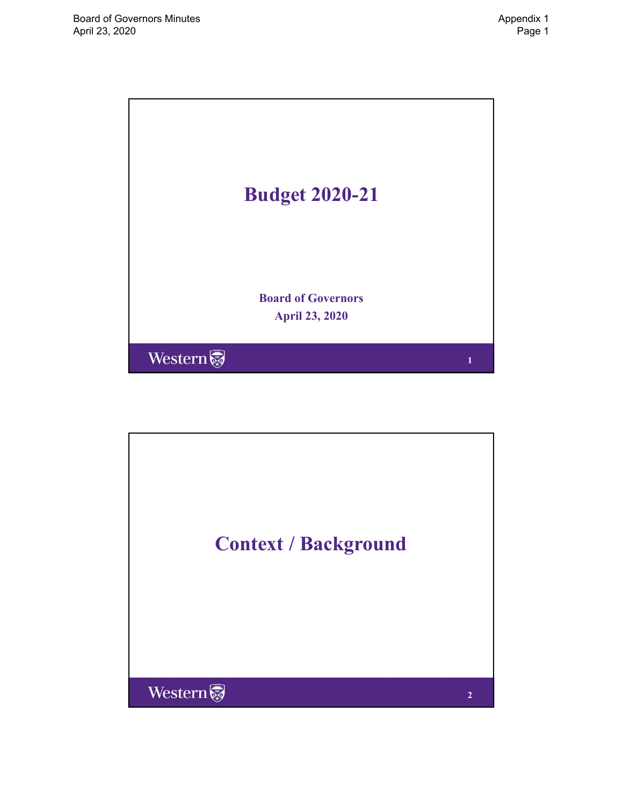<span id="page-7-0"></span>

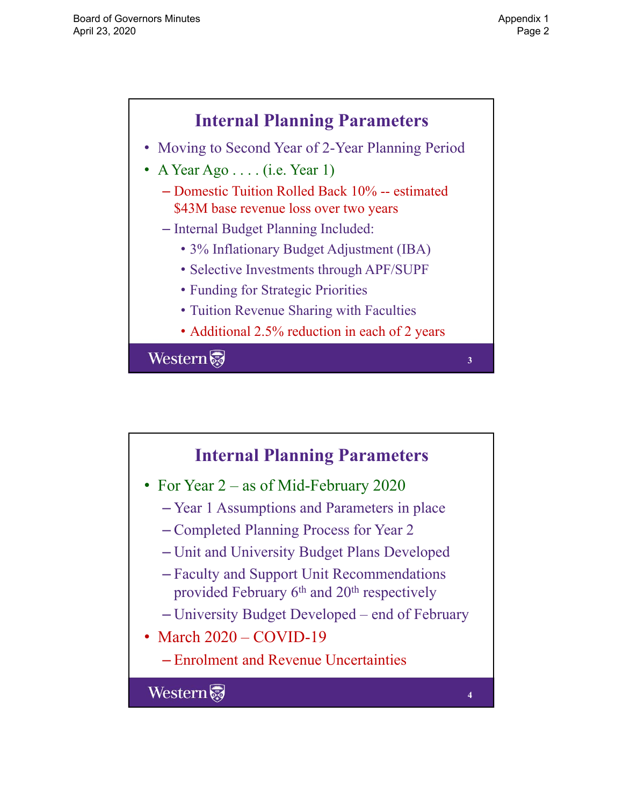

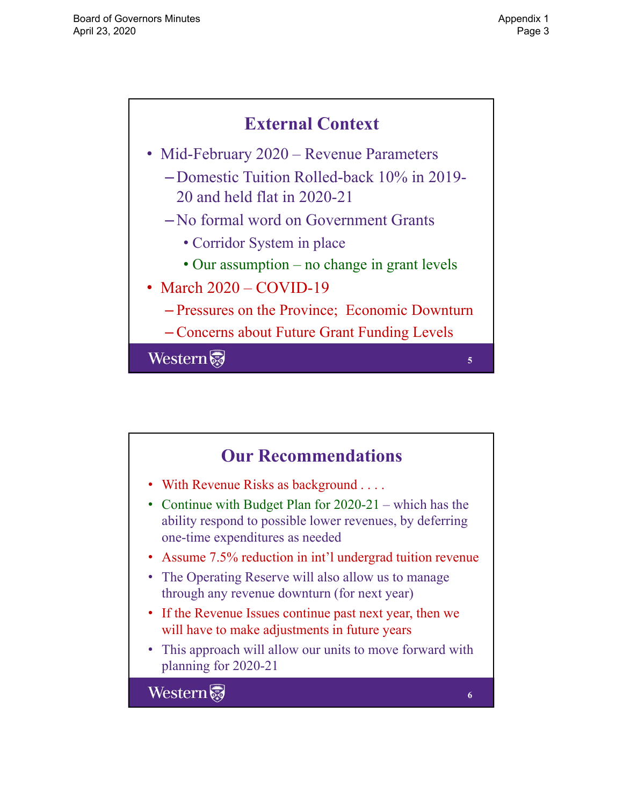

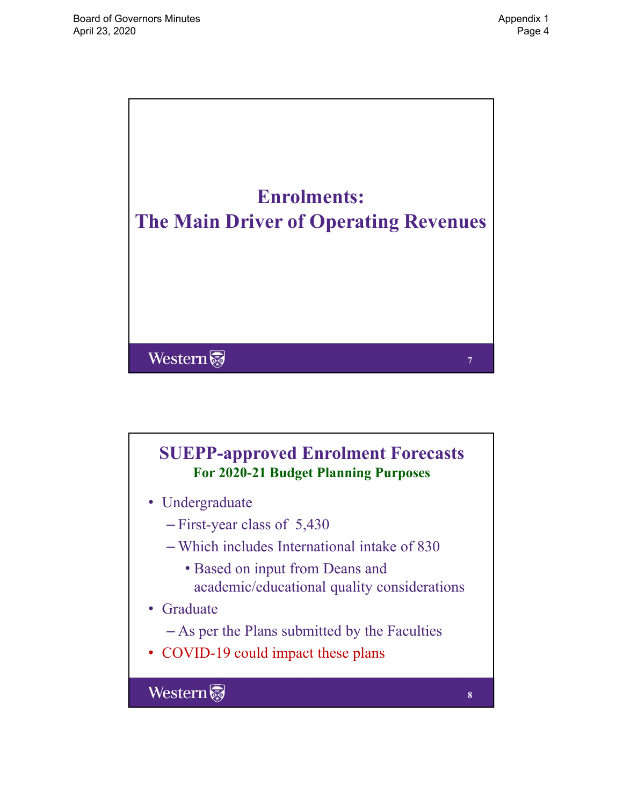

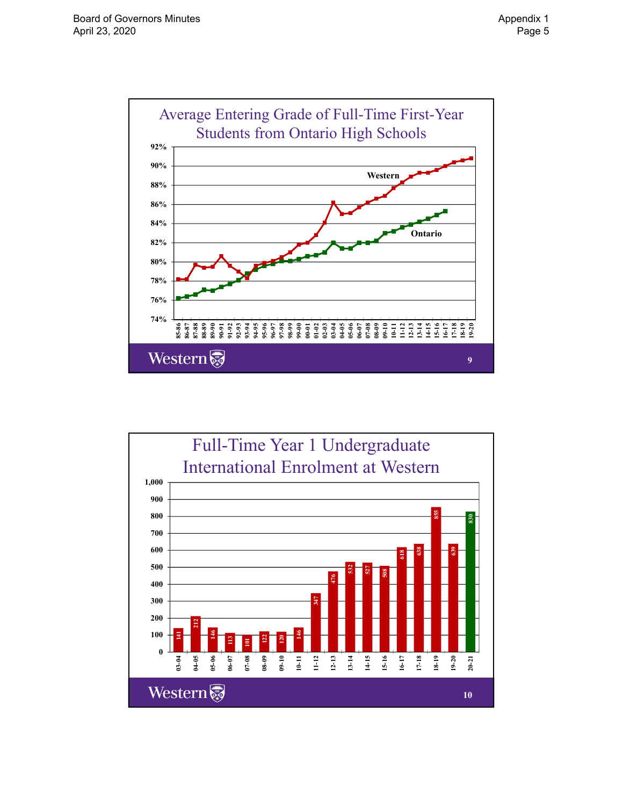

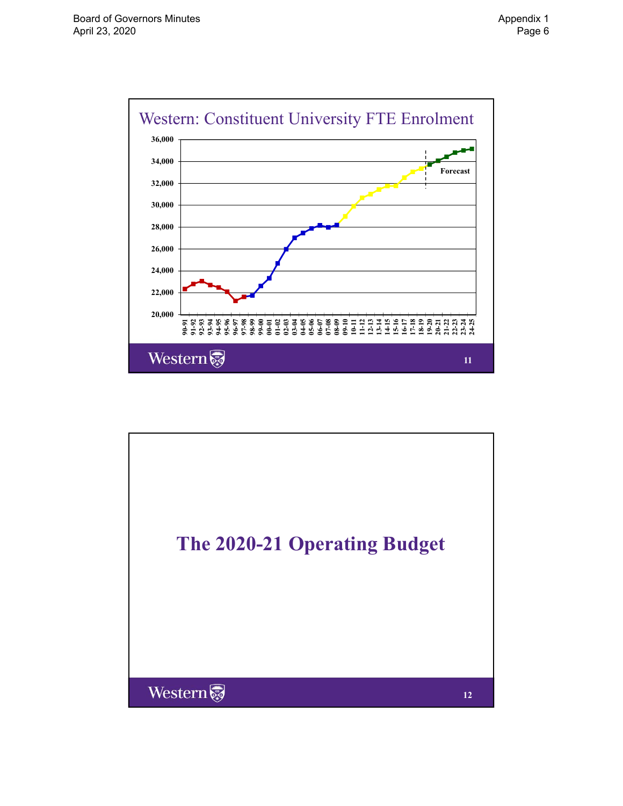

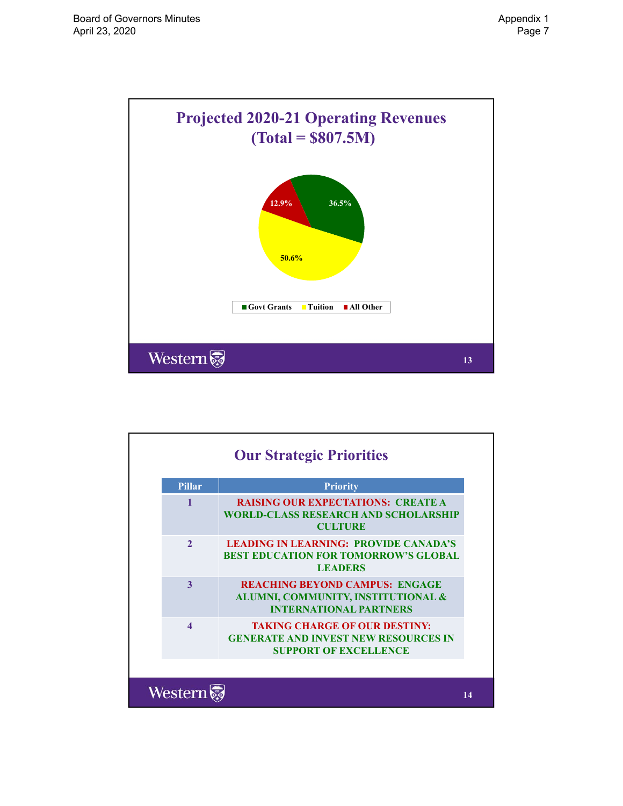

| <b>Pillar</b>          | <b>Priority</b>                                                                                                     |
|------------------------|---------------------------------------------------------------------------------------------------------------------|
|                        | <b>RAISING OUR EXPECTATIONS: CREATE A</b><br><b>WORLD-CLASS RESEARCH AND SCHOLARSHIP</b><br><b>CULTURE</b>          |
| $\mathcal{L}$          | <b>LEADING IN LEARNING: PROVIDE CANADA'S</b><br><b>BEST EDUCATION FOR TOMORROW'S GLOBAL</b><br><b>LEADERS</b>       |
| 3                      | <b>REACHING BEYOND CAMPUS: ENGAGE</b><br>ALUMNI, COMMUNITY, INSTITUTIONAL &<br><b>INTERNATIONAL PARTNERS</b>        |
| $\boldsymbol{\Lambda}$ | <b>TAKING CHARGE OF OUR DESTINY:</b><br><b>GENERATE AND INVEST NEW RESOURCES IN</b><br><b>SUPPORT OF EXCELLENCE</b> |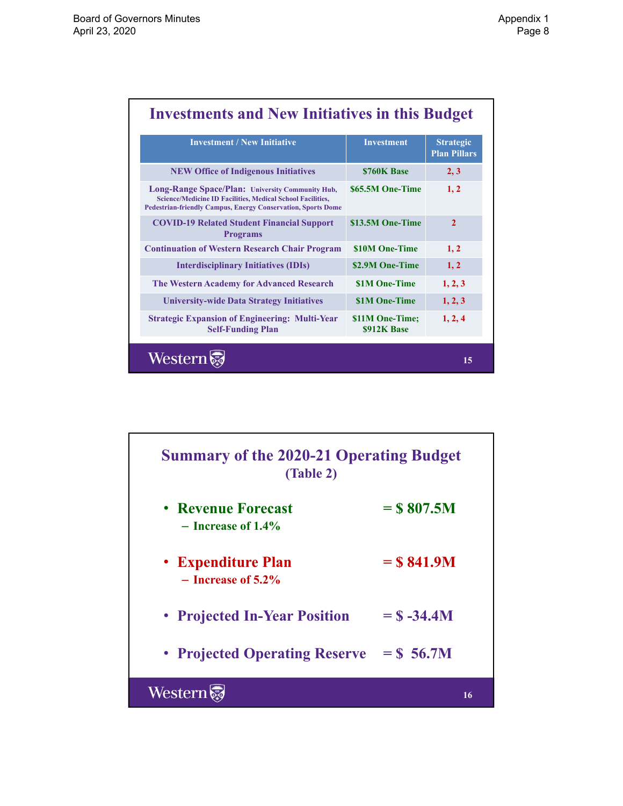٦

| <b>Investment / New Initiative</b>                                                                                                                                                           | <b>Investment</b>              | <b>Strategic</b><br><b>Plan Pillars</b> |
|----------------------------------------------------------------------------------------------------------------------------------------------------------------------------------------------|--------------------------------|-----------------------------------------|
| <b>NEW Office of Indigenous Initiatives</b>                                                                                                                                                  | \$760K Base                    | 2, 3                                    |
| Long-Range Space/Plan: University Community Hub,<br><b>Science/Medicine ID Facilities, Medical School Facilities,</b><br><b>Pedestrian-friendly Campus, Energy Conservation, Sports Dome</b> | \$65.5M One-Time               | 1, 2                                    |
| <b>COVID-19 Related Student Financial Support</b><br><b>Programs</b>                                                                                                                         | \$13.5M One-Time               | $\mathcal{L}$                           |
| <b>Continuation of Western Research Chair Program</b>                                                                                                                                        | \$10M One-Time                 | 1, 2                                    |
| <b>Interdisciplinary Initiatives (IDIs)</b>                                                                                                                                                  | \$2.9M One-Time                | 1, 2                                    |
| <b>The Western Academy for Advanced Research</b>                                                                                                                                             | <b>\$1M One-Time</b>           | 1, 2, 3                                 |
| <b>University-wide Data Strategy Initiatives</b>                                                                                                                                             | <b>\$1M One-Time</b>           | 1, 2, 3                                 |
| <b>Strategic Expansion of Engineering: Multi-Year</b><br><b>Self-Funding Plan</b>                                                                                                            | \$11M One-Time;<br>\$912K Base | 1, 2, 4                                 |

| <b>Summary of the 2020-21 Operating Budget</b><br>(Table 2) |               |  |  |
|-------------------------------------------------------------|---------------|--|--|
| • Revenue Forecast<br>$-$ Increase of 1.4%                  | $=$ \$807.5M  |  |  |
| • Expenditure Plan<br>$-$ Increase of 5.2%                  | $=$ \$841.9M  |  |  |
| • Projected In-Year Position                                | $=$ \$ -34.4M |  |  |
| • Projected Operating Reserve                               | $=$ \$ 56.7M  |  |  |
| <b>Western</b>                                              | 16            |  |  |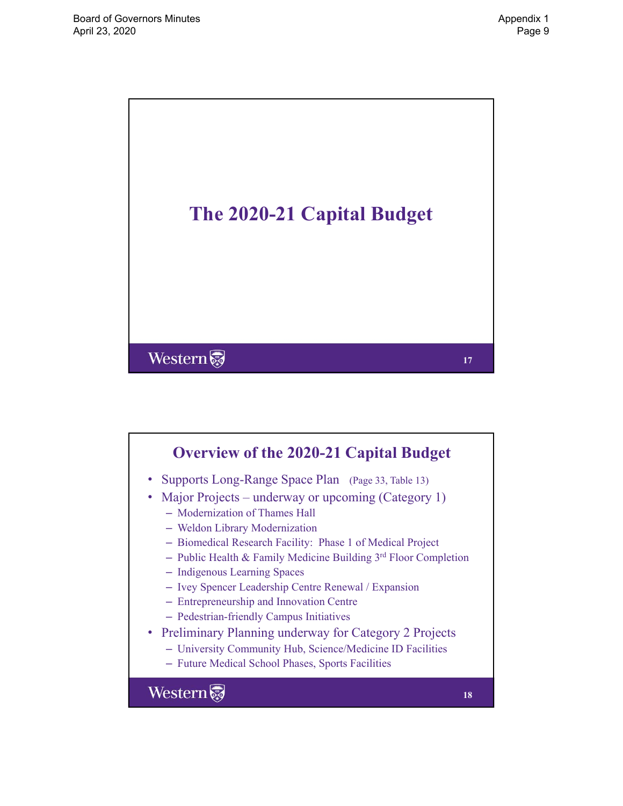